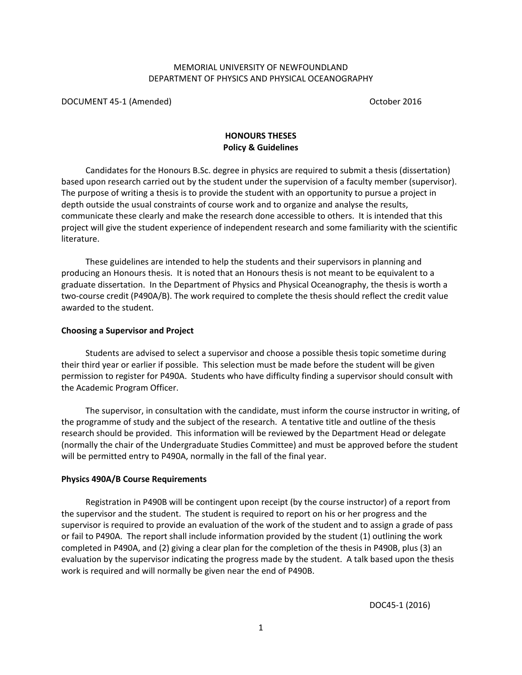## MEMORIAL UNIVERSITY OF NEWFOUNDLAND DEPARTMENT OF PHYSICS AND PHYSICAL OCEANOGRAPHY

DOCUMENT 45-1 (Amended) and the control of the control of the control of the control of the control of the control of the control of the control of the control of the control of the control of the control of the control of

# **HONOURS THESES Policy & Guidelines**

Candidates for the Honours B.Sc. degree in physics are required to submit a thesis (dissertation) based upon research carried out by the student under the supervision of a faculty member (supervisor). The purpose of writing a thesis is to provide the student with an opportunity to pursue a project in depth outside the usual constraints of course work and to organize and analyse the results, communicate these clearly and make the research done accessible to others. It is intended that this project will give the student experience of independent research and some familiarity with the scientific literature.

These guidelines are intended to help the students and their supervisors in planning and producing an Honours thesis. It is noted that an Honours thesis is not meant to be equivalent to a graduate dissertation. In the Department of Physics and Physical Oceanography, the thesis is worth a two-course credit (P490A/B). The work required to complete the thesis should reflect the credit value awarded to the student.

## **Choosing a Supervisor and Project**

Students are advised to select a supervisor and choose a possible thesis topic sometime during their third year or earlier if possible. This selection must be made before the student will be given permission to register for P490A. Students who have difficulty finding a supervisor should consult with the Academic Program Officer.

The supervisor, in consultation with the candidate, must inform the course instructor in writing, of the programme of study and the subject of the research. A tentative title and outline of the thesis research should be provided. This information will be reviewed by the Department Head or delegate (normally the chair of the Undergraduate Studies Committee) and must be approved before the student will be permitted entry to P490A, normally in the fall of the final year.

#### **Physics 490A/B Course Requirements**

Registration in P490B will be contingent upon receipt (by the course instructor) of a report from the supervisor and the student. The student is required to report on his or her progress and the supervisor is required to provide an evaluation of the work of the student and to assign a grade of pass or fail to P490A. The report shall include information provided by the student (1) outlining the work completed in P490A, and (2) giving a clear plan for the completion of the thesis in P490B, plus (3) an evaluation by the supervisor indicating the progress made by the student. A talk based upon the thesis work is required and will normally be given near the end of P490B.

DOC45-1 (2016)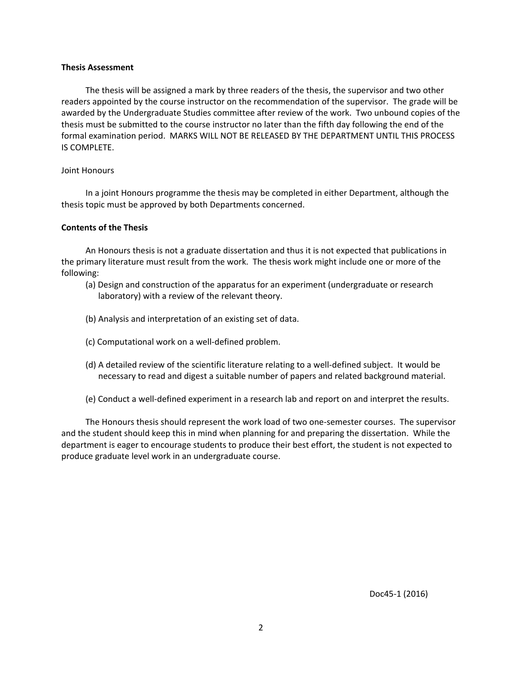#### **Thesis Assessment**

The thesis will be assigned a mark by three readers of the thesis, the supervisor and two other readers appointed by the course instructor on the recommendation of the supervisor. The grade will be awarded by the Undergraduate Studies committee after review of the work. Two unbound copies of the thesis must be submitted to the course instructor no later than the fifth day following the end of the formal examination period. MARKS WILL NOT BE RELEASED BY THE DEPARTMENT UNTIL THIS PROCESS IS COMPLETE.

#### Joint Honours

In a joint Honours programme the thesis may be completed in either Department, although the thesis topic must be approved by both Departments concerned.

#### **Contents of the Thesis**

An Honours thesis is not a graduate dissertation and thus it is not expected that publications in the primary literature must result from the work. The thesis work might include one or more of the following:

- (a) Design and construction of the apparatus for an experiment (undergraduate or research laboratory) with a review of the relevant theory.
- (b) Analysis and interpretation of an existing set of data.
- (c) Computational work on a well-defined problem.
- (d) A detailed review of the scientific literature relating to a well-defined subject. It would be necessary to read and digest a suitable number of papers and related background material.
- (e) Conduct a well-defined experiment in a research lab and report on and interpret the results.

The Honours thesis should represent the work load of two one-semester courses. The supervisor and the student should keep this in mind when planning for and preparing the dissertation. While the department is eager to encourage students to produce their best effort, the student is not expected to produce graduate level work in an undergraduate course.

Doc45-1 (2016)